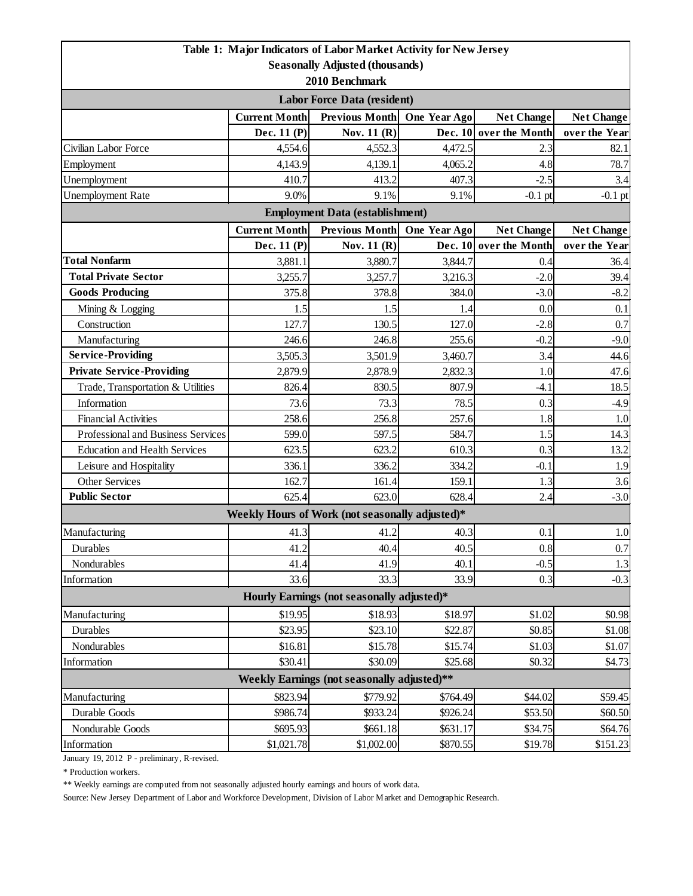|                                                                         |                                                        | Table 1: Major Indicators of Labor Market Activity for New Jersey |              |                        |                   |  |  |  |
|-------------------------------------------------------------------------|--------------------------------------------------------|-------------------------------------------------------------------|--------------|------------------------|-------------------|--|--|--|
|                                                                         |                                                        | <b>Seasonally Adjusted (thousands)</b>                            |              |                        |                   |  |  |  |
| 2010 Benchmark                                                          |                                                        |                                                                   |              |                        |                   |  |  |  |
| <b>Labor Force Data (resident)</b>                                      |                                                        |                                                                   |              |                        |                   |  |  |  |
|                                                                         | <b>Current Month</b>                                   | Previous Month                                                    | One Year Ago | <b>Net Change</b>      | <b>Net Change</b> |  |  |  |
|                                                                         | Dec. 11 (P)                                            | Nov. 11 (R)                                                       |              | Dec. 10 over the Month | over the Year     |  |  |  |
| Civilian Labor Force                                                    | 4,554.6                                                | 4,552.3                                                           | 4,472.5      | 2.3                    | 82.1              |  |  |  |
| Employment                                                              | 4,143.9                                                | 4,139.1                                                           | 4,065.2      | 4.8                    | 78.7              |  |  |  |
| Unemployment                                                            | 410.7                                                  | 413.2                                                             | 407.3        | $-2.5$                 | 3.4               |  |  |  |
| <b>Unemployment Rate</b>                                                | 9.0%                                                   | 9.1%                                                              | 9.1%         | $-0.1$ pt              | $-0.1$ pt         |  |  |  |
| <b>Employment Data (establishment)</b>                                  |                                                        |                                                                   |              |                        |                   |  |  |  |
|                                                                         | <b>Current Month</b><br>Previous Month<br>One Year Ago |                                                                   |              |                        | <b>Net Change</b> |  |  |  |
|                                                                         | Dec. 11 (P)                                            | Nov. 11 (R)                                                       |              | Dec. 10 over the Month | over the Year     |  |  |  |
| <b>Total Nonfarm</b>                                                    | 3,881.1                                                | 3,880.7                                                           | 3,844.7      | 0.4                    | 36.4              |  |  |  |
| <b>Total Private Sector</b>                                             | 3,255.7                                                | 3,257.7                                                           | 3,216.3      | $-2.0$                 | 39.4              |  |  |  |
| <b>Goods Producing</b>                                                  | 375.8                                                  | 378.8                                                             | 384.0        | $-3.0$                 | $-8.2$            |  |  |  |
| Mining & Logging                                                        | 1.5                                                    | 1.5                                                               | 1.4          | 0.0                    | 0.1               |  |  |  |
| Construction                                                            | 127.7                                                  | 130.5                                                             | 127.0        | $-2.8$                 | 0.7               |  |  |  |
| Manufacturing                                                           | 246.6                                                  | 246.8                                                             | 255.6        | $-0.2$                 | $-9.0$            |  |  |  |
| <b>Service-Providing</b>                                                | 3,505.3                                                | 3,501.9                                                           | 3,460.7      | 3.4                    | 44.6              |  |  |  |
| <b>Private Service-Providing</b>                                        | 2,879.9                                                | 2,878.9                                                           | 2,832.3      | 1.0                    | 47.6              |  |  |  |
| Trade, Transportation & Utilities                                       | 826.4                                                  | 830.5                                                             | 807.9        | $-4.1$                 | 18.5              |  |  |  |
| Information                                                             | 73.6                                                   | 73.3                                                              | 78.5         | 0.3                    | $-4.9$            |  |  |  |
| <b>Financial Activities</b>                                             | 258.6                                                  | 256.8                                                             | 257.6        | 1.8                    | 1.0               |  |  |  |
| Professional and Business Services                                      | 599.0                                                  | 597.5                                                             | 584.7        | 1.5                    | 14.3              |  |  |  |
| <b>Education and Health Services</b>                                    | 623.5                                                  | 623.2                                                             | 610.3        | 0.3                    | 13.2              |  |  |  |
| Leisure and Hospitality                                                 | 336.1                                                  | 336.2                                                             | 334.2        | $-0.1$                 | 1.9               |  |  |  |
| Other Services                                                          | 162.7                                                  | 161.4                                                             | 159.1        | 1.3                    | 3.6               |  |  |  |
| <b>Public Sector</b>                                                    | 625.4                                                  | 623.0                                                             | 628.4        | 2.4                    | $-3.0$            |  |  |  |
|                                                                         |                                                        | Weekly Hours of Work (not seasonally adjusted)*                   |              |                        |                   |  |  |  |
| Manufacturing                                                           | 41.3                                                   | 41.2                                                              | 40.3         | 0.1                    | 1.0               |  |  |  |
| Durables                                                                | 41.2                                                   | 40.4                                                              | 40.5         | 0.8                    | 0.7               |  |  |  |
| Nondurables                                                             | 41.4                                                   | 41.9                                                              | 40.1         | $-0.5$                 | 1.3               |  |  |  |
| Information                                                             | 33.6                                                   | 33.3                                                              | 33.9         | 0.3                    | $-0.3$            |  |  |  |
| Hourly Earnings (not seasonally adjusted)*                              |                                                        |                                                                   |              |                        |                   |  |  |  |
| Manufacturing                                                           | \$19.95                                                | \$18.93                                                           | \$18.97      | \$1.02                 | \$0.98            |  |  |  |
| Durables                                                                | \$23.95                                                | \$23.10                                                           | \$22.87      | \$0.85                 | \$1.08            |  |  |  |
| Nondurables                                                             | \$16.81                                                | \$15.78                                                           | \$15.74      | \$1.03                 | \$1.07            |  |  |  |
| Information                                                             | \$30.41                                                | \$30.09                                                           | \$25.68      | \$0.32                 | \$4.73            |  |  |  |
| Weekly Earnings (not seasonally adjusted)**                             |                                                        |                                                                   |              |                        |                   |  |  |  |
| \$823.94<br>\$779.92<br>\$764.49<br>Manufacturing<br>\$44.02<br>\$59.45 |                                                        |                                                                   |              |                        |                   |  |  |  |
| Durable Goods                                                           | \$986.74                                               | \$933.24                                                          | \$926.24     | \$53.50                | \$60.50           |  |  |  |
| Nondurable Goods                                                        | \$695.93                                               | \$661.18                                                          | \$631.17     | \$34.75                | \$64.76           |  |  |  |
| Information                                                             | \$1,021.78                                             | \$1,002.00                                                        | \$870.55     | \$19.78                | \$151.23          |  |  |  |
|                                                                         |                                                        |                                                                   |              |                        |                   |  |  |  |

January 19, 2012 P - preliminary, R-revised.

\* Production workers.

\*\* Weekly earnings are computed from not seasonally adjusted hourly earnings and hours of work data.

Source: New Jersey Department of Labor and Workforce Development, Division of Labor Market and Demographic Research.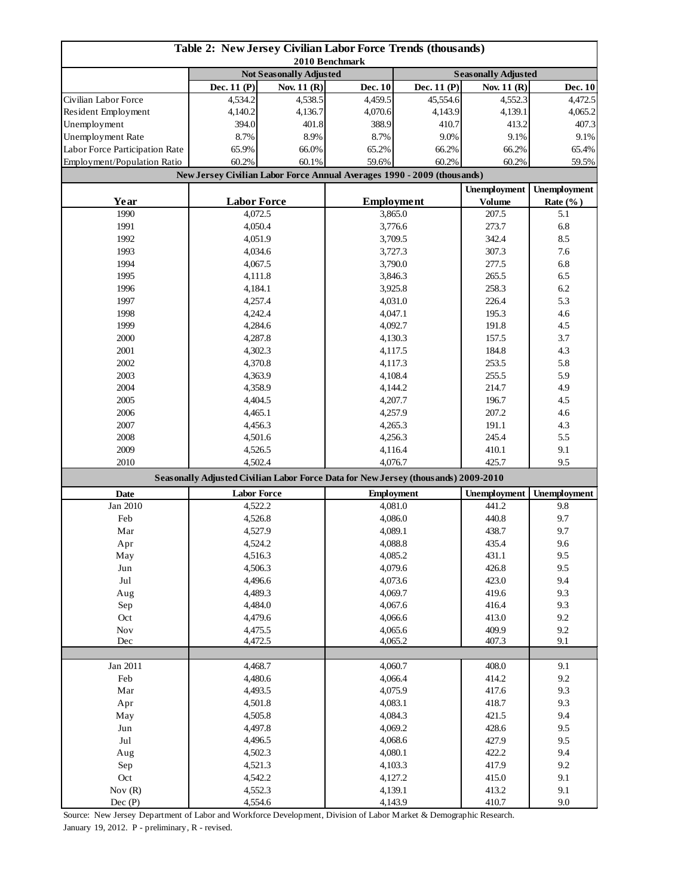| Table 2: New Jersey Civilian Labor Force Trends (thousands)<br>2010 Benchmark |                                                                                    |             |                    |                   |                              |                     |
|-------------------------------------------------------------------------------|------------------------------------------------------------------------------------|-------------|--------------------|-------------------|------------------------------|---------------------|
|                                                                               | <b>Not Seasonally Adjusted</b>                                                     |             |                    |                   | <b>Seasonally Adjusted</b>   |                     |
|                                                                               | Dec. 11 (P)                                                                        | Nov. 11 (R) | <b>Dec. 10</b>     | Dec. 11 (P)       | Nov. 11 (R)                  | Dec. 10             |
| Civilian Labor Force                                                          | 4,534.2                                                                            | 4,538.5     | 4,459.5            | 45,554.6          | 4.552.3                      | 4,472.5             |
| Resident Employment                                                           | 4,140.2                                                                            | 4,136.7     | 4,070.6            | 4,143.9           | 4,139.1                      | 4,065.2             |
| Unemployment                                                                  | 394.0                                                                              | 401.8       | 388.9              | 410.7             | 413.2                        | 407.3               |
| Unemployment Rate                                                             | 8.7%                                                                               | 8.9%        | 8.7%               | 9.0%              | 9.1%                         | 9.1%                |
| Labor Force Participation Rate                                                | 65.9%                                                                              | 66.0%       | 65.2%              | 66.2%             | 66.2%<br>60.2%               | 65.4%               |
| Employment/Population Ratio                                                   | 60.2%                                                                              | 60.1%       |                    | 60.2%<br>59.6%    |                              | 59.5%               |
|                                                                               | New Jersey Civilian Labor Force Annual Averages 1990 - 2009 (thousands)            |             |                    |                   |                              |                     |
|                                                                               | <b>Labor Force</b>                                                                 |             | <b>Employment</b>  |                   | <b>Unemployment</b>          | <b>Unemployment</b> |
| Year<br>1990                                                                  |                                                                                    |             |                    |                   | <b>Volume</b><br>207.5       | Rate $(\% )$<br>5.1 |
| 1991                                                                          | 4,072.5<br>4,050.4                                                                 |             | 3,865.0<br>3,776.6 |                   | 273.7                        | 6.8                 |
| 1992                                                                          | 4,051.9                                                                            |             | 3,709.5            |                   | 342.4                        | 8.5                 |
| 1993                                                                          | 4,034.6                                                                            |             |                    | 3,727.3           |                              | 7.6                 |
| 1994                                                                          | 4,067.5                                                                            |             |                    | 3,790.0           |                              | 6.8                 |
| 1995                                                                          | 4,111.8                                                                            |             |                    | 3,846.3           | 277.5<br>265.5               | 6.5                 |
| 1996                                                                          | 4,184.1                                                                            |             |                    | 3,925.8           | 258.3                        | 6.2                 |
| 1997                                                                          | 4,257.4                                                                            |             |                    | 4,031.0           | 226.4                        | 5.3                 |
| 1998                                                                          | 4,242.4                                                                            |             | 4,047.1            |                   | 195.3                        | 4.6                 |
| 1999                                                                          | 4,284.6                                                                            |             |                    | 4,092.7           | 191.8                        | 4.5                 |
| 2000                                                                          | 4,287.8                                                                            |             |                    | 4,130.3           | 157.5                        | 3.7                 |
| 2001                                                                          | 4,302.3                                                                            |             |                    | 4,117.5           | 184.8                        | 4.3                 |
| 2002                                                                          | 4,370.8                                                                            |             |                    | 4,117.3           | 253.5                        | 5.8                 |
| 2003                                                                          | 4,363.9                                                                            |             |                    | 4,108.4           |                              | 5.9                 |
| 2004                                                                          | 4,358.9                                                                            |             | 4,144.2            |                   | 214.7                        | 4.9                 |
| 2005                                                                          | 4,404.5                                                                            |             | 4,207.7            |                   | 196.7                        | 4.5                 |
| 2006                                                                          | 4,465.1                                                                            |             | 4,257.9            |                   | 207.2                        | 4.6                 |
| 2007                                                                          | 4,456.3                                                                            |             | 4,265.3            |                   | 191.1                        | 4.3                 |
| 2008                                                                          | 4,501.6                                                                            |             | 4,256.3            |                   | 245.4                        | 5.5                 |
| 2009                                                                          | 4,526.5                                                                            |             | 4,116.4            |                   | 410.1                        | 9.1                 |
| 2010                                                                          | 4,502.4                                                                            |             |                    | 4,076.7           | 425.7                        | 9.5                 |
|                                                                               | Seasonally Adjusted Civilian Labor Force Data for New Jersey (thousands) 2009-2010 |             |                    |                   |                              |                     |
| <b>Date</b>                                                                   | <b>Labor Force</b>                                                                 |             |                    | <b>Employment</b> | <b>Unemployment</b><br>441.2 | Unemployment        |
| Jan 2010                                                                      | 4,522.2                                                                            |             |                    | 4,081.0           |                              | 9.8                 |
| Feb                                                                           | 4,526.8                                                                            |             | 4,086.0            |                   | 440.8                        | 9.7                 |
| Mar                                                                           | 4,527.9                                                                            |             | 4,089.1            |                   | 438.7                        | 9.7                 |
| Apr                                                                           | 4,524.2                                                                            |             | 4,088.8            |                   | 435.4                        | 9.6                 |
| May<br>$_{\rm Jun}$                                                           | 4,516.3                                                                            |             | 4,085.2            |                   | 431.1<br>426.8               | 9.5<br>9.5          |
| $_{\rm{Jul}}$                                                                 | 4,506.3                                                                            |             | 4,079.6<br>4,073.6 |                   | 423.0                        | 9.4                 |
| Aug                                                                           | 4,496.6<br>4,489.3                                                                 |             | 4,069.7            |                   | 419.6                        | 9.3                 |
| Sep                                                                           |                                                                                    |             | 4,067.6            |                   | 416.4                        | 9.3                 |
| Oct                                                                           | 4,484.0<br>4,479.6                                                                 |             | 4,066.6            |                   | 413.0                        | 9.2                 |
| Nov                                                                           | 4,475.5                                                                            |             | 4,065.6            |                   | 409.9                        | 9.2                 |
| Dec                                                                           | 4,472.5                                                                            |             | 4,065.2            |                   | 407.3                        | 9.1                 |
|                                                                               |                                                                                    |             |                    |                   |                              |                     |
| Jan 2011                                                                      | 4,468.7                                                                            |             |                    | 4,060.7           | 408.0                        | 9.1                 |
| Feb                                                                           | 4,480.6                                                                            |             | 4,066.4            |                   | 414.2                        | 9.2                 |
| $\operatorname{Mar}$                                                          | 4,493.5                                                                            |             | 4,075.9            |                   | 417.6                        | 9.3                 |
| Apr                                                                           | 4,501.8                                                                            |             | 4,083.1            |                   | 418.7                        | 9.3                 |
| May                                                                           | 4,505.8                                                                            |             | 4,084.3            |                   | 421.5                        | 9.4                 |
| Jun                                                                           | 4,497.8                                                                            |             | 4,069.2            |                   | 428.6                        | 9.5                 |
| Jul                                                                           | 4,496.5                                                                            |             | 4,068.6            |                   | 427.9<br>422.2               | 9.5                 |
| Aug                                                                           | 4,502.3                                                                            |             |                    | 4,080.1           |                              | 9.4                 |
| Sep                                                                           | 4,521.3                                                                            |             |                    | 4,103.3           | 417.9                        | 9.2                 |
| Oct                                                                           | 4,542.2                                                                            |             |                    | 4,127.2           | 415.0<br>413.2               | 9.1                 |
| Nov $(R)$                                                                     | 4,552.3                                                                            |             |                    | 4,139.1           |                              | 9.1                 |
| Dec(P)                                                                        | 4,554.6                                                                            |             |                    | 4,143.9           | 410.7                        | 9.0                 |

Source: New Jersey Department of Labor and Workforce Development, Division of Labor Market & Demographic Research.

January 19, 2012. P - preliminary, R - revised.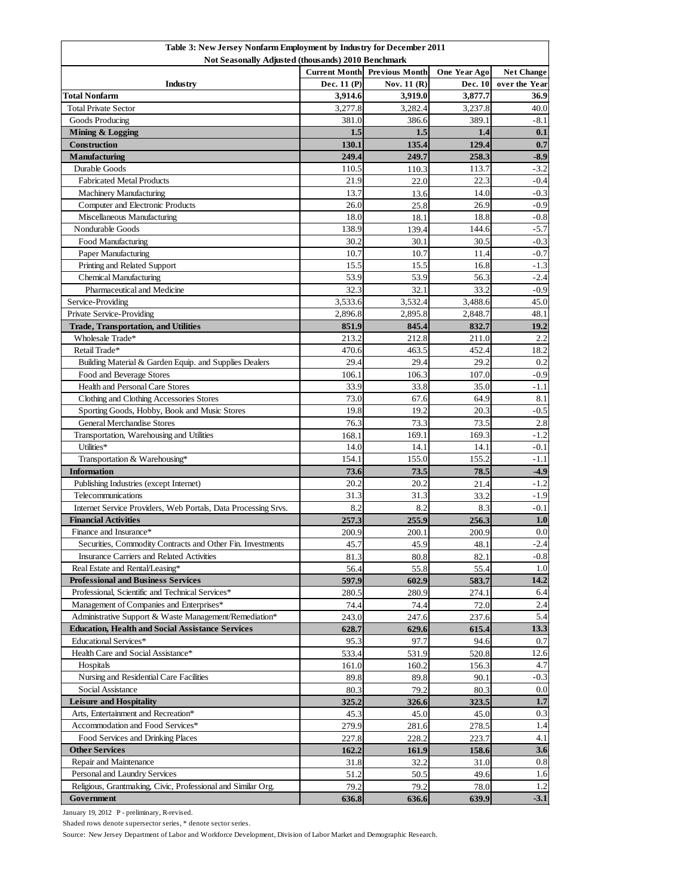| Table 3: New Jersey Nonfarm Employment by Industry for December 2011<br>Not Seasonally Adjusted (thousands) 2010 Benchmark |                                                                                 |                |                |               |  |  |  |
|----------------------------------------------------------------------------------------------------------------------------|---------------------------------------------------------------------------------|----------------|----------------|---------------|--|--|--|
|                                                                                                                            | <b>Current Month Previous Month</b><br><b>One Year Ago</b><br><b>Net Change</b> |                |                |               |  |  |  |
| Industry                                                                                                                   | Dec. 11 (P)                                                                     | Nov. 11 (R)    | Dec. 10        | over the Year |  |  |  |
| <b>Total Nonfarm</b>                                                                                                       | 3,914.6                                                                         | 3,919.0        | 3,877.7        | 36.9          |  |  |  |
| <b>Total Private Sector</b>                                                                                                | 3,277.8                                                                         | 3,282.4        | 3,237.8        | 40.0          |  |  |  |
| Goods Producing                                                                                                            | 381.0                                                                           | 386.6          | 389.1          | -8.1          |  |  |  |
| Mining & Logging                                                                                                           | 1.5                                                                             | 1.5            | 1.4            | 0.1           |  |  |  |
| Construction                                                                                                               | 130.1                                                                           | 135.4          | 129.4          | 0.7           |  |  |  |
| <b>Manufacturing</b>                                                                                                       | 249.4                                                                           | 249.7          | 258.3          | $-8.9$        |  |  |  |
| Durable Goods                                                                                                              | 110.5                                                                           | 110.3          | 113.7          | $-3.2$        |  |  |  |
| <b>Fabricated Metal Products</b>                                                                                           | 21.9                                                                            | 22.0           | 22.3           | $-0.4$        |  |  |  |
| <b>Machinery Manufacturing</b>                                                                                             | 13.7                                                                            | 13.6           | 14.0           | $-0.3$        |  |  |  |
| Computer and Electronic Products                                                                                           | 26.0                                                                            | 25.8           | 26.9           | $-0.9$        |  |  |  |
| Miscellaneous Manufacturing                                                                                                | 18.0                                                                            | 18.1           | 18.8           | $-0.8$        |  |  |  |
| Nondurable Goods                                                                                                           | 138.9                                                                           | 139.4          | 144.6          | $-5.7$        |  |  |  |
| Food Manufacturing                                                                                                         | 30.2                                                                            | 30.1           | 30.5           | $-0.3$        |  |  |  |
| Paper Manufacturing                                                                                                        | 10.7                                                                            | 10.7           | 11.4           | $-0.7$        |  |  |  |
| Printing and Related Support                                                                                               | 15.5                                                                            | 15.5           | 16.8           | $-1.3$        |  |  |  |
| <b>Chemical Manufacturing</b>                                                                                              | 53.9                                                                            | 53.9           | 56.3           | $-2.4$        |  |  |  |
| Pharmaceutical and Medicine                                                                                                | 32.3                                                                            | 32.1           | 33.2           | $-0.9$        |  |  |  |
| Service-Providing                                                                                                          | 3,533.6                                                                         | 3,532.4        | 3,488.6        | 45.0          |  |  |  |
| Private Service-Providing                                                                                                  | 2,896.8                                                                         | 2,895.8        | 2,848.7        | 48.1          |  |  |  |
|                                                                                                                            | 851.9                                                                           |                |                |               |  |  |  |
| <b>Trade, Transportation, and Utilities</b><br>Wholesale Trade*                                                            | 213.2                                                                           | 845.4<br>212.8 | 832.7<br>211.0 | 19.2<br>2.2   |  |  |  |
|                                                                                                                            |                                                                                 |                |                |               |  |  |  |
| Retail Trade*<br>Building Material & Garden Equip. and Supplies Dealers                                                    | 470.6                                                                           | 463.5          | 452.4          | 18.2          |  |  |  |
|                                                                                                                            | 29.4                                                                            | 29.4           | 29.2           | 0.2           |  |  |  |
| Food and Beverage Stores                                                                                                   | 106.1                                                                           | 106.3          | 107.0          | $-0.9$        |  |  |  |
| Health and Personal Care Stores                                                                                            | 33.9                                                                            | 33.8           | 35.0           | $-1.1$        |  |  |  |
| Clothing and Clothing Accessories Stores                                                                                   | 73.0                                                                            | 67.6           | 64.9           | 8.1           |  |  |  |
| Sporting Goods, Hobby, Book and Music Stores                                                                               | 19.8                                                                            | 19.2           | 20.3           | $-0.5$        |  |  |  |
| <b>General Merchandise Stores</b>                                                                                          | 76.3                                                                            | 73.3           | 73.5           | 2.8           |  |  |  |
| Transportation, Warehousing and Utilities                                                                                  | 168.1                                                                           | 169.1          | 169.3          | $-1.2$        |  |  |  |
| Utilities*                                                                                                                 | 14.0                                                                            | 14.1           | 14.1           | $-0.1$        |  |  |  |
| Transportation & Warehousing*                                                                                              | 154.1                                                                           | 155.0          | 155.2          | $-1.1$        |  |  |  |
| <b>Information</b>                                                                                                         | 73.6                                                                            | 73.5           | 78.5           | $-4.9$        |  |  |  |
| Publishing Industries (except Internet)                                                                                    | 20.2                                                                            | 20.2           | 21.4           | $-1.2$        |  |  |  |
| Telecommunications                                                                                                         | 31.3                                                                            | 31.3           | 33.2           | $-1.9$        |  |  |  |
| Internet Service Providers, Web Portals, Data Processing Srvs.                                                             | 8.2                                                                             | 8.2            | 8.3            | $-0.1$        |  |  |  |
| <b>Financial Activities</b>                                                                                                | 257.3                                                                           | 255.9          | 256.3          | 1.0           |  |  |  |
| Finance and Insurance*                                                                                                     | 200.9                                                                           | 200.1          | 200.9          | 0.0           |  |  |  |
| Securities, Commodity Contracts and Other Fin. Investments                                                                 | 45.7                                                                            | 45.9           | 48.1           | $-2.4$        |  |  |  |
| Insurance Carriers and Related Activities                                                                                  | 81.3                                                                            | 80.8           | 82.1           | $-0.8$        |  |  |  |
| Real Estate and Rental/Leasing*                                                                                            | 56.4                                                                            | 55.8           | 55.4           | 1.0           |  |  |  |
| <b>Professional and Business Services</b>                                                                                  | 597.9                                                                           | 602.9          | 583.7          | 14.2          |  |  |  |
| Professional, Scientific and Technical Services*                                                                           | 280.5                                                                           | 280.9          | 274.1          | 6.4           |  |  |  |
| Management of Companies and Enterprises*                                                                                   | 74.4                                                                            | 74.4           | 72.0           | 2.4           |  |  |  |
| Administrative Support & Waste Management/Remediation*                                                                     | 243.0                                                                           | 247.6          | 237.6          | 5.4           |  |  |  |
| <b>Education, Health and Social Assistance Services</b>                                                                    | 628.7                                                                           | 629.6          | 615.4          | 13.3          |  |  |  |
| Educational Services*                                                                                                      | 95.3                                                                            | 97.7           | 94.6           | 0.7           |  |  |  |
| Health Care and Social Assistance*                                                                                         | 533.4                                                                           | 531.9          | 520.8          | 12.6          |  |  |  |
| Hospitals                                                                                                                  | 161.0                                                                           | 160.2          | 156.3          | 4.7           |  |  |  |
| Nursing and Residential Care Facilities                                                                                    | 89.8                                                                            | 89.8           | 90.1           | $-0.3$        |  |  |  |
| Social Assistance                                                                                                          | 80.3                                                                            | 79.2           | 80.3           | 0.0           |  |  |  |
| <b>Leisure and Hospitality</b>                                                                                             | 325.2                                                                           | 326.6          | 323.5          | 1.7           |  |  |  |
| Arts, Entertainment and Recreation*                                                                                        | 45.3                                                                            | 45.0           | 45.0           | 0.3           |  |  |  |
| Accommodation and Food Services*                                                                                           | 279.9                                                                           | 281.6          | 278.5          | 1.4           |  |  |  |
| Food Services and Drinking Places                                                                                          | 227.8                                                                           | 228.2          | 223.7          | 4.1           |  |  |  |
| <b>Other Services</b>                                                                                                      | 162.2                                                                           | 161.9          | 158.6          | 3.6           |  |  |  |
| Repair and Maintenance                                                                                                     | 31.8                                                                            | 32.2           | 31.0           | 0.8           |  |  |  |
| Personal and Laundry Services                                                                                              | 51.2                                                                            | 50.5           | 49.6           | 1.6           |  |  |  |
| Religious, Grantmaking, Civic, Professional and Similar Org.                                                               | 79.2                                                                            | 79.2           | 78.0           | 1.2           |  |  |  |
| Government                                                                                                                 | 636.8                                                                           | 636.6          | 639.9          | $-3.1$        |  |  |  |

January 19, 2012 P - preliminary, R-revised.

Shaded rows denote supersector series, \* denote sector series.

Source: New Jersey Department of Labor and Workforce Development, Division of Labor Market and Demographic Research.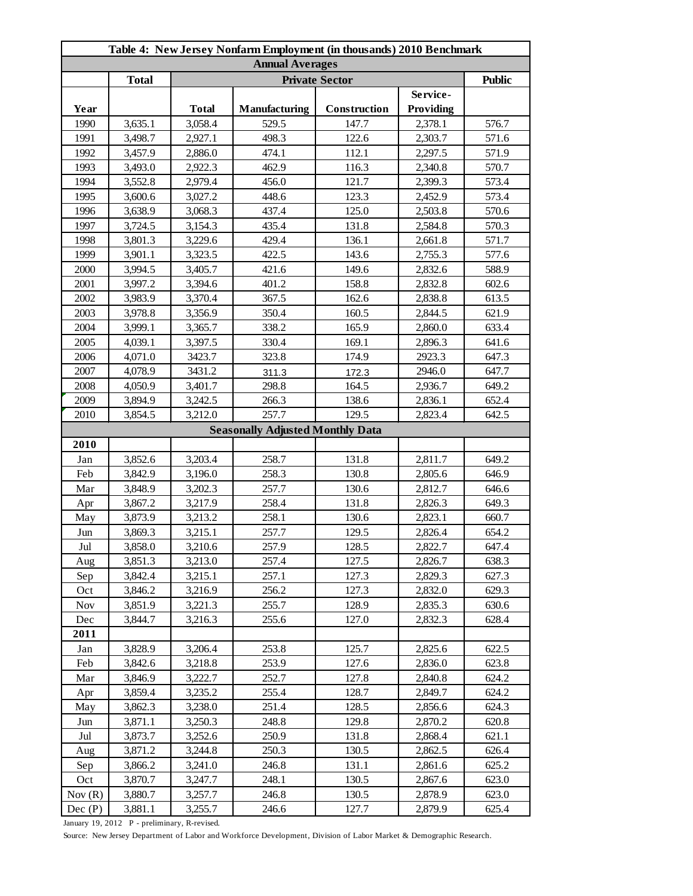| Table 4: New Jersey Nonfarm Employment (in thousands) 2010 Benchmark |              |              |                                         |              |           |       |  |  |
|----------------------------------------------------------------------|--------------|--------------|-----------------------------------------|--------------|-----------|-------|--|--|
| <b>Annual Averages</b>                                               |              |              |                                         |              |           |       |  |  |
|                                                                      | <b>Total</b> |              | <b>Public</b>                           |              |           |       |  |  |
|                                                                      |              |              |                                         |              | Service-  |       |  |  |
| Year                                                                 |              | <b>Total</b> | Manufacturing                           | Construction | Providing |       |  |  |
| 1990                                                                 | 3,635.1      | 3,058.4      | 529.5                                   | 147.7        | 2,378.1   | 576.7 |  |  |
| 1991                                                                 | 3,498.7      | 2,927.1      | 498.3                                   | 122.6        | 2,303.7   | 571.6 |  |  |
| 1992                                                                 | 3,457.9      | 2,886.0      | 474.1                                   | 112.1        | 2,297.5   | 571.9 |  |  |
| 1993                                                                 | 3,493.0      | 2,922.3      | 462.9                                   | 116.3        | 2,340.8   | 570.7 |  |  |
| 1994                                                                 | 3,552.8      | 2,979.4      | 456.0                                   | 121.7        | 2,399.3   | 573.4 |  |  |
| 1995                                                                 | 3,600.6      | 3,027.2      | 448.6                                   | 123.3        | 2,452.9   | 573.4 |  |  |
| 1996                                                                 | 3,638.9      | 3,068.3      | 437.4                                   | 125.0        | 2,503.8   | 570.6 |  |  |
| 1997                                                                 | 3,724.5      | 3,154.3      | 435.4                                   | 131.8        | 2,584.8   | 570.3 |  |  |
| 1998                                                                 | 3,801.3      | 3,229.6      | 429.4                                   | 136.1        | 2,661.8   | 571.7 |  |  |
| 1999                                                                 | 3,901.1      | 3,323.5      | 422.5                                   | 143.6        | 2,755.3   | 577.6 |  |  |
| 2000                                                                 | 3,994.5      | 3,405.7      | 421.6                                   | 149.6        | 2,832.6   | 588.9 |  |  |
| 2001                                                                 | 3,997.2      | 3,394.6      | 401.2                                   | 158.8        | 2,832.8   | 602.6 |  |  |
| 2002                                                                 | 3,983.9      | 3,370.4      | 367.5                                   | 162.6        | 2,838.8   | 613.5 |  |  |
| 2003                                                                 | 3,978.8      | 3,356.9      | 350.4                                   | 160.5        | 2,844.5   | 621.9 |  |  |
| 2004                                                                 | 3,999.1      | 3,365.7      | 338.2                                   | 165.9        | 2,860.0   | 633.4 |  |  |
| 2005                                                                 | 4,039.1      | 3,397.5      | 330.4                                   | 169.1        | 2,896.3   | 641.6 |  |  |
| 2006                                                                 | 4,071.0      | 3423.7       | 323.8                                   | 174.9        | 2923.3    | 647.3 |  |  |
| 2007                                                                 | 4,078.9      | 3431.2       | 311.3                                   | 172.3        | 2946.0    | 647.7 |  |  |
| 2008                                                                 | 4,050.9      | 3,401.7      | 298.8                                   | 164.5        | 2,936.7   | 649.2 |  |  |
| 2009                                                                 | 3,894.9      | 3,242.5      | 266.3                                   | 138.6        | 2,836.1   | 652.4 |  |  |
| 2010                                                                 | 3,854.5      | 3,212.0      | 257.7                                   | 129.5        | 2,823.4   | 642.5 |  |  |
|                                                                      |              |              | <b>Seasonally Adjusted Monthly Data</b> |              |           |       |  |  |
| 2010                                                                 |              |              |                                         |              |           |       |  |  |
| Jan                                                                  | 3,852.6      | 3,203.4      | 258.7                                   | 131.8        | 2,811.7   | 649.2 |  |  |
| Feb                                                                  | 3,842.9      | 3,196.0      | 258.3                                   | 130.8        | 2,805.6   | 646.9 |  |  |
| Mar                                                                  | 3,848.9      | 3,202.3      | 257.7                                   | 130.6        | 2,812.7   | 646.6 |  |  |
| Apr                                                                  | 3,867.2      | 3,217.9      | 258.4                                   | 131.8        | 2,826.3   | 649.3 |  |  |
| May                                                                  | 3,873.9      | 3,213.2      | 258.1                                   | 130.6        | 2,823.1   | 660.7 |  |  |
| Jun                                                                  | 3,869.3      | 3,215.1      | 257.7                                   | 129.5        | 2,826.4   | 654.2 |  |  |
| Jul                                                                  | 3,858.0      | 3,210.6      | 257.9                                   | 128.5        | 2,822.7   | 647.4 |  |  |
| Aug                                                                  | 3,851.3      | 3,213.0      | 257.4                                   | 127.5        | 2,826.7   | 638.3 |  |  |
| Sep                                                                  | 3,842.4      | 3,215.1      | 257.1                                   | 127.3        | 2,829.3   | 627.3 |  |  |
| Oct                                                                  | 3,846.2      | 3,216.9      | 256.2                                   | 127.3        | 2,832.0   | 629.3 |  |  |
| <b>Nov</b>                                                           | 3,851.9      | 3,221.3      | 255.7                                   | 128.9        | 2,835.3   | 630.6 |  |  |
| Dec                                                                  | 3,844.7      | 3,216.3      | 255.6                                   | 127.0        | 2,832.3   | 628.4 |  |  |
| 2011                                                                 |              |              |                                         |              |           |       |  |  |
| Jan                                                                  | 3,828.9      | 3,206.4      | 253.8                                   | 125.7        | 2,825.6   | 622.5 |  |  |
| Feb                                                                  | 3,842.6      | 3,218.8      | 253.9                                   | 127.6        | 2,836.0   | 623.8 |  |  |
| Mar                                                                  | 3,846.9      | 3,222.7      | 252.7                                   | 127.8        | 2,840.8   | 624.2 |  |  |
| Apr                                                                  | 3,859.4      | 3,235.2      | 255.4                                   | 128.7        | 2,849.7   | 624.2 |  |  |
| May                                                                  | 3,862.3      | 3,238.0      | 251.4                                   | 128.5        | 2,856.6   | 624.3 |  |  |
| Jun                                                                  | 3,871.1      | 3,250.3      | 248.8                                   | 129.8        | 2,870.2   | 620.8 |  |  |
| Jul                                                                  | 3,873.7      | 3,252.6      | 250.9                                   | 131.8        | 2,868.4   | 621.1 |  |  |
| Aug                                                                  | 3,871.2      | 3,244.8      | 250.3                                   | 130.5        | 2,862.5   | 626.4 |  |  |
| Sep                                                                  | 3,866.2      | 3,241.0      | 246.8                                   | 131.1        | 2,861.6   | 625.2 |  |  |
| Oct                                                                  | 3,870.7      | 3,247.7      | 248.1                                   | 130.5        | 2,867.6   | 623.0 |  |  |
| Nov(R)                                                               | 3,880.7      | 3,257.7      | 246.8                                   | 130.5        | 2,878.9   | 623.0 |  |  |
| Dec(P)                                                               | 3,881.1      | 3,255.7      | 246.6                                   | 127.7        | 2,879.9   | 625.4 |  |  |
|                                                                      |              |              |                                         |              |           |       |  |  |

January 19, 2012 P - preliminary, R-revised.

Source: New Jersey Department of Labor and Workforce Development, Division of Labor Market & Demographic Research.